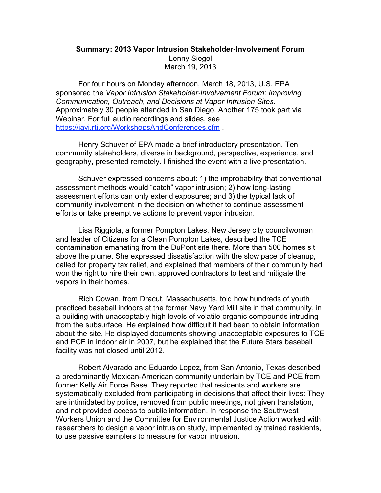## **Summary: 2013 Vapor Intrusion Stakeholder-Involvement Forum** Lenny Siegel March 19, 2013

For four hours on Monday afternoon, March 18, 2013, U.S. EPA sponsored the *Vapor Intrusion Stakeholder*-*Involvement Forum: Improving Communication, Outreach, and Decisions at Vapor Intrusion Sites.* Approximately 30 people attended in San Diego. Another 175 took part via Webinar. For full audio recordings and slides, see https://iavi.rti.org/WorkshopsAndConferences.cfm .

Henry Schuver of EPA made a brief introductory presentation. Ten community stakeholders, diverse in background, perspective, experience, and geography, presented remotely. I finished the event with a live presentation.

Schuver expressed concerns about: 1) the improbability that conventional assessment methods would "catch" vapor intrusion; 2) how long-lasting assessment efforts can only extend exposures; and 3) the typical lack of community involvement in the decision on whether to continue assessment efforts or take preemptive actions to prevent vapor intrusion.

Lisa Riggiola, a former Pompton Lakes, New Jersey city councilwoman and leader of Citizens for a Clean Pompton Lakes, described the TCE contamination emanating from the DuPont site there. More than 500 homes sit above the plume. She expressed dissatisfaction with the slow pace of cleanup, called for property tax relief, and explained that members of their community had won the right to hire their own, approved contractors to test and mitigate the vapors in their homes.

Rich Cowan, from Dracut, Massachusetts, told how hundreds of youth practiced baseball indoors at the former Navy Yard Mill site in that community, in a building with unacceptably high levels of volatile organic compounds intruding from the subsurface. He explained how difficult it had been to obtain information about the site. He displayed documents showing unacceptable exposures to TCE and PCE in indoor air in 2007, but he explained that the Future Stars baseball facility was not closed until 2012.

Robert Alvarado and Eduardo Lopez, from San Antonio, Texas described a predominantly Mexican-American community underlain by TCE and PCE from former Kelly Air Force Base. They reported that residents and workers are systematically excluded from participating in decisions that affect their lives: They are intimidated by police, removed from public meetings, not given translation, and not provided access to public information. In response the Southwest Workers Union and the Committee for Environmental Justice Action worked with researchers to design a vapor intrusion study, implemented by trained residents, to use passive samplers to measure for vapor intrusion.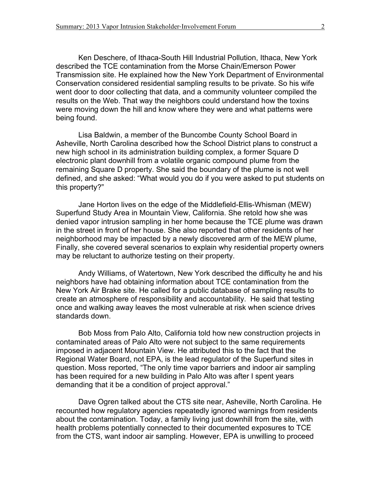Ken Deschere, of Ithaca-South Hill Industrial Pollution, Ithaca, New York described the TCE contamination from the Morse Chain/Emerson Power Transmission site. He explained how the New York Department of Environmental Conservation considered residential sampling results to be private. So his wife went door to door collecting that data, and a community volunteer compiled the results on the Web. That way the neighbors could understand how the toxins were moving down the hill and know where they were and what patterns were being found.

Lisa Baldwin, a member of the Buncombe County School Board in Asheville, North Carolina described how the School District plans to construct a new high school in its administration building complex, a former Square D electronic plant downhill from a volatile organic compound plume from the remaining Square D property. She said the boundary of the plume is not well defined, and she asked: "What would you do if you were asked to put students on this property?"

Jane Horton lives on the edge of the Middlefield-Ellis-Whisman (MEW) Superfund Study Area in Mountain View, California. She retold how she was denied vapor intrusion sampling in her home because the TCE plume was drawn in the street in front of her house. She also reported that other residents of her neighborhood may be impacted by a newly discovered arm of the MEW plume, Finally, she covered several scenarios to explain why residential property owners may be reluctant to authorize testing on their property.

Andy Williams, of Watertown, New York described the difficulty he and his neighbors have had obtaining information about TCE contamination from the New York Air Brake site. He called for a public database of sampling results to create an atmosphere of responsibility and accountability. He said that testing once and walking away leaves the most vulnerable at risk when science drives standards down.

Bob Moss from Palo Alto, California told how new construction projects in contaminated areas of Palo Alto were not subject to the same requirements imposed in adjacent Mountain View. He attributed this to the fact that the Regional Water Board, not EPA, is the lead regulator of the Superfund sites in question. Moss reported, "The only time vapor barriers and indoor air sampling has been required for a new building in Palo Alto was after I spent years demanding that it be a condition of project approval."

Dave Ogren talked about the CTS site near, Asheville, North Carolina. He recounted how regulatory agencies repeatedly ignored warnings from residents about the contamination. Today, a family living just downhill from the site, with health problems potentially connected to their documented exposures to TCE from the CTS, want indoor air sampling. However, EPA is unwilling to proceed